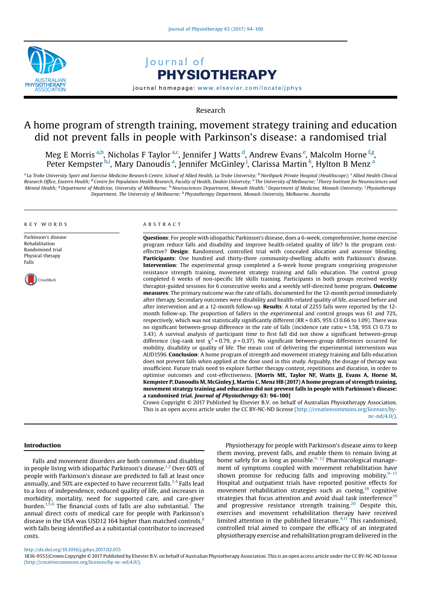

# Journal of PHYSIOTHERAPY

journal homepage: <www.elsevier.com/locate/jphys>

Research

## A home program of strength training, movement strategy training and education did not prevent falls in people with Parkinson's disease: a randomised trial

Meg E Morris <sup>a,b</sup>, Nicholas F Taylor <sup>a,c</sup>, Jennifer J Watts <sup>d</sup>, Andrew Evans <sup>e</sup>, Malcolm Horne <sup>f,g</sup>, Peter Kempster<sup>h,i</sup>, Mary Danoudis<sup>a</sup>, Jennifer McGinley<sup>.j</sup>, Clarissa Martin<sup>k</sup>, Hylton B Menz<sup>a</sup>

<sup>a</sup> La Trobe University Sport and Exercise Medicine Research Centre, School of Allied Health, La Trobe University; <sup>b</sup> Northpark Private Hospital (Healthscope); <sup>c</sup> Allied Health Clinical Research Office, Eastern Health; <sup>d</sup> Centre for Population Health Research, Faculty of Health, Deakin University; <sup>e</sup> The University of Melbourne; <sup>f</sup> Florey Institute for Neurosciences and Mental Health; <sup>g</sup> Department of Medicine, University of Melbourne; <sup>'h</sup> Neurosciences Department, Monash Health; <sup>'</sup> Department of Medicine, Monash University; <sup>j</sup> Physiotherapy Department, The University of Melbourne; <sup>k</sup> Physiotherapy Department, Monash University, Melbourne, Australia

#### KEY WORDS

Parkinson's disease Rehabilitation Randomised trial Physical therapy Falls

.<br>CrossMark

#### ABSTRACT

Questions: For people with idiopathic Parkinson's disease, does a 6-week, comprehensive, home exercise program reduce falls and disability and improve health-related quality of life? Is the program costeffective? Design: Randomised, controlled trial with concealed allocation and assessor blinding. Participants: One hundred and thirty-three community-dwelling adults with Parkinson's disease. Intervention: The experimental group completed a 6-week home program comprising progressive resistance strength training, movement strategy training and falls education. The control group completed 6 weeks of non-specific life skills training. Participants in both groups received weekly therapist-guided sessions for 6 consecutive weeks and a weekly self-directed home program. **Outcome** measures: The primary outcome was the rate of falls, documented for the 12-month period immediately after therapy. Secondary outcomes were disability and health-related quality of life, assessed before and after intervention and at a 12-month follow-up. Results: A total of 2255 falls were reported by the 12 month follow-up. The proportion of fallers in the experimental and control groups was 61 and 72%, respectively, which was not statistically significantly different (RR = 0.85, 95% CI 0.66 to 1.09). There was no significant between-group difference in the rate of falls (incidence rate ratio = 1.58, 95% CI 0.73 to 3.43). A survival analysis of participant time to first fall did not show a significant between-group difference (log-rank test  $\chi^2$  = 0.79, p = 0.37). No significant between-group differences occurred for mobility, disability or quality of life. The mean cost of delivering the experimental intervention was AUD1596. Conclusion: A home program of strength and movement strategy training and falls education does not prevent falls when applied at the dose used in this study. Arguably, the dosage of therapy was insufficient. Future trials need to explore further therapy content, repetitions and duration, in order to optimise outcomes and cost-effectiveness. [Morris ME, Taylor NF, Watts JJ, Evans A, Horne M, Kempster P, Danoudis M, McGinley J, Martin C, Menz HB (2017) A home program of strength training, movement strategy training and education did not prevent falls in people with Parkinson's disease: a randomised trial. Journal of Physiotherapy 63: 94–100]

Crown Copyright © 2017 Published by Elsevier B.V. on behalf of Australian Physiotherapy Association. This is an open access article under the CC BY-NC-ND license ([http://creativecommons.org/licenses/by](http://creativecommons.org/licenses/by-nc-nd/4.0/)[nc-nd/4.0/](http://creativecommons.org/licenses/by-nc-nd/4.0/)).

#### Introduction

Falls and movement disorders are both common and disabling in people living with idiopathic Parkinson's disease.<sup>[1,2](#page-6-0)</sup> Over 60% of people with Parkinson's disease are predicted to fall at least once annually, and 50% are expected to have recurrent falls.<sup>[3,4](#page-6-0)</sup> Falls lead to a loss of independence, reduced quality of life, and increases in morbidity, mortality, need for supported care, and care-giver burden.<sup>1,5,6</sup> The financial costs of falls are also substantial.<sup>[7](#page-6-0)</sup> The annual direct costs of medical care for people with Parkinson's disease in the USA was USD12 164 higher than matched controls, $8$ with falls being identified as a substantial contributor to increased costs.

Physiotherapy for people with Parkinson's disease aims to keep them moving, prevent falls, and enable them to remain living at home safely for as long as possible.<sup>9–[12](#page-6-0)</sup> Pharmacological management of symptoms coupled with movement rehabilitation have shown promise for reducing falls and improving mobility. $9-17$ Hospital and outpatient trials have reported positive effects for movement rehabilitation strategies such as cueing,<sup>18</sup> cognitive strategies that focus attention and avoid dual task interference<sup>[19](#page-6-0)</sup> and progressive resistance strength training.<sup>20</sup> Despite this, exercises and movement rehabilitation therapy have received limited attention in the published literature. $4,11$  This randomised, controlled trial aimed to compare the efficacy of an integrated physiotherapy exercise and rehabilitation program delivered in the

<http://dx.doi.org/10.1016/j.jphys.2017.02.015>

1836-9553/Crown Copyright © 2017 Published by Elsevier B.V. on behalf of Australian Physiotherapy Association. This is an open access article under the CC BY-NC-ND license [\(http://creativecommons.org/licenses/by-nc-nd/4.0/](http://creativecommons.org/licenses/by-nc-nd/4.0/)).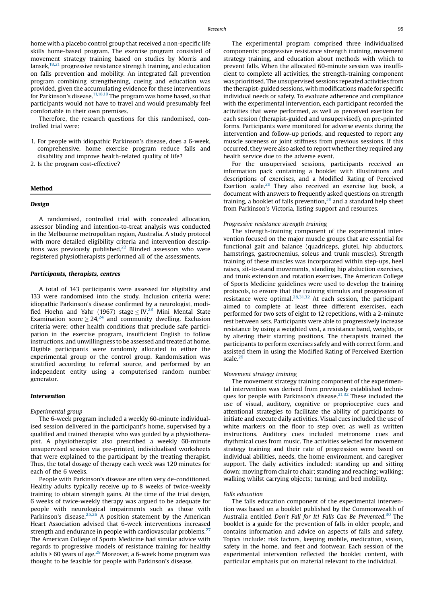home with a placebo control group that received a non-specific life skills home-based program. The exercise program consisted of movement strategy training based on studies by Morris and Iansek[,18,21](#page-6-0) progressive resistance strength training, and education on falls prevention and mobility. An integrated fall prevention program combining strengthening, cueing and education was provided, given the accumulating evidence for these interventions for Parkinson's disease.<sup>[11,18,19](#page-6-0)</sup> The program was home based, so that participants would not have to travel and would presumably feel comfortable in their own premises.

Therefore, the research questions for this randomised, controlled trial were:

- 1. For people with idiopathic Parkinson's disease, does a 6-week, comprehensive, home exercise program reduce falls and disability and improve health-related quality of life?
- 2. Is the program cost-effective?

### Method

#### Design

A randomised, controlled trial with concealed allocation, assessor blinding and intention-to-treat analysis was conducted in the Melbourne metropolitan region, Australia. A study protocol with more detailed eligibility criteria and intervention descriptions was previously published.<sup>22</sup> Blinded assessors who were registered physiotherapists performed all of the assessments.

#### Participants, therapists, centres

A total of 143 participants were assessed for eligibility and 133 were randomised into the study. Inclusion criteria were: idiopathic Parkinson's disease confirmed by a neurologist, modified Hoehn and Yahr (1967) stage  $\langle$  IV,<sup>[23](#page-6-0)</sup> Mini Mental State Examination score  $\geq 24^{24}$  $\geq 24^{24}$  $\geq 24^{24}$  and community dwelling. Exclusion criteria were: other health conditions that preclude safe participation in the exercise program, insufficient English to follow instructions, and unwillingness to be assessed and treated at home. Eligible participants were randomly allocated to either the experimental group or the control group. Randomisation was stratified according to referral source, and performed by an independent entity using a computerised random number generator.

## Intervention

#### Experimental group

The 6-week program included a weekly 60-minute individualised session delivered in the participant's home, supervised by a qualified and trained therapist who was guided by a physiotherapist. A physiotherapist also prescribed a weekly 60-minute unsupervised session via pre-printed, individualised worksheets that were explained to the participant by the treating therapist. Thus, the total dosage of therapy each week was 120 minutes for each of the 6 weeks.

People with Parkinson's disease are often very de-conditioned. Healthy adults typically receive up to 8 weeks of twice-weekly training to obtain strength gains. At the time of the trial design, 6 weeks of twice-weekly therapy was argued to be adequate for people with neurological impairments such as those with Parkinson's disease.<sup>[25,26](#page-6-0)</sup> A position statement by the American Heart Association advised that 6-week interventions increased strength and endurance in people with cardiovascular problems. $27$ The American College of Sports Medicine had similar advice with regards to progressive models of resistance training for healthy adults > 60 years of age. $^{28}$  Moreover, a 6-week home program was thought to be feasible for people with Parkinson's disease.

The experimental program comprised three individualised components: progressive resistance strength training, movement strategy training, and education about methods with which to prevent falls. When the allocated 60-minute session was insufficient to complete all activities, the strength-training component was prioritised. The unsupervised sessions repeated activities from the therapist-guided sessions, with modifications made for specific individual needs or safety. To evaluate adherence and compliance with the experimental intervention, each participant recorded the activities that were performed, as well as perceived exertion for each session (therapist-guided and unsupervised), on pre-printed forms. Participants were monitored for adverse events during the intervention and follow-up periods, and requested to report any muscle soreness or joint stiffness from previous sessions. If this occurred, they were also asked to report whether they required any health service due to the adverse event.

For the unsupervised sessions, participants received an information pack containing a booklet with illustrations and descriptions of exercises, and a Modified Rating of Perceived Exertion scale.<sup>[29](#page-6-0)</sup> They also received an exercise log book, a document with answers to frequently asked questions on strength training, a booklet of falls prevention, $30$  and a standard help sheet from Parkinson's Victoria, listing support and resources.

## Progressive resistance strength training

The strength-training component of the experimental intervention focused on the major muscle groups that are essential for functional gait and balance (quadriceps, glutei, hip abductors, hamstrings, gastrocnemius, soleus and trunk muscles). Strength training of these muscles was incorporated within step-ups, heel raises, sit-to-stand movements, standing hip abduction exercises, and trunk extension and rotation exercises. The American College of Sports Medicine guidelines were used to develop the training protocols, to ensure that the training stimulus and progression of resistance were optimal. $28,31,32$  At each session, the participant aimed to complete at least three different exercises, each performed for two sets of eight to 12 repetitions, with a 2-minute rest between sets. Participants were able to progressively increase resistance by using a weighted vest, a resistance band, weights, or by altering their starting positions. The therapists trained the participants to perform exercises safely and with correct form, and assisted them in using the Modified Rating of Perceived Exertion scale.[29](#page-6-0)

#### Movement strategy training

The movement strategy training component of the experimental intervention was derived from previously established techniques for people with Parkinson's disease.<sup>21,32</sup> These included the use of visual, auditory, cognitive or proprioceptive cues and attentional strategies to facilitate the ability of participants to initiate and execute daily activities. Visual cues included the use of white markers on the floor to step over, as well as written instructions. Auditory cues included metronome cues and rhythmical cues from music. The activities selected for movement strategy training and their rate of progression were based on individual abilities, needs, the home environment, and caregiver support. The daily activities included: standing up and sitting down; moving from chair to chair; standing and reaching; walking; walking whilst carrying objects; turning; and bed mobility.

#### Falls education

The falls education component of the experimental intervention was based on a booklet published by the Commonwealth of Australia entitled Don't Fall for It! Falls Can Be Prevented.<sup>[30](#page-6-0)</sup> The booklet is a guide for the prevention of falls in older people, and contains information and advice on aspects of falls and safety. Topics include: risk factors, keeping mobile, medication, vision, safety in the home, and feet and footwear. Each session of the experimental intervention reflected the booklet content, with particular emphasis put on material relevant to the individual.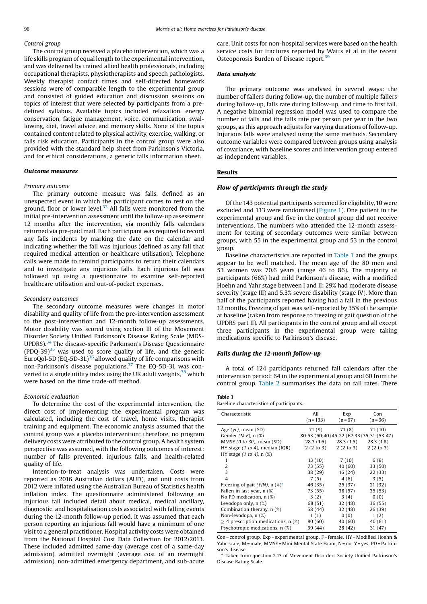## Control group

The control group received a placebo intervention, which was a life skills program of equal length to the experimental intervention, and was delivered by trained allied health professionals, including occupational therapists, physiotherapists and speech pathologists. Weekly therapist contact times and self-directed homework sessions were of comparable length to the experimental group and consisted of guided education and discussion sessions on topics of interest that were selected by participants from a predefined syllabus. Available topics included relaxation, energy conservation, fatigue management, voice, communication, swallowing, diet, travel advice, and memory skills. None of the topics contained content related to physical activity, exercise, walking, or falls risk education. Participants in the control group were also provided with the standard help sheet from Parkinson's Victoria, and for ethical considerations, a generic falls information sheet.

#### Outcome measures

#### Primary outcome

The primary outcome measure was falls, defined as an unexpected event in which the participant comes to rest on the ground, floor or lower level. $33$  All falls were monitored from the initial pre-intervention assessment until the follow-up assessment 12 months after the intervention, via monthly falls calendars returned via pre-paid mail. Each participant was required to record any falls incidents by marking the date on the calendar and indicating whether the fall was injurious (defined as any fall that required medical attention or healthcare utilisation). Telephone calls were made to remind participants to return their calendars and to investigate any injurious falls. Each injurious fall was followed up using a questionnaire to examine self-reported healthcare utilisation and out-of-pocket expenses.

#### Secondary outcomes

The secondary outcome measures were changes in motor disability and quality of life from the pre-intervention assessment to the post-intervention and 12-month follow-up assessments. Motor disability was scored using section III of the Movement Disorder Society Unified Parkinson's Disease Rating Scale (MDS-UPDRS).[34](#page-6-0) The disease-specific Parkinson's Disease Questionnaire  $($ PDO-39 $)$ <sup>[35](#page-6-0)</sup> was used to score quality of life, and the generic EuroQol-5D (EQ-5D-3L)<sup>[36](#page-6-0)</sup> allowed quality of life comparisons with non-Parkinson's disease populations.<sup>[37](#page-6-0)</sup> The EO-5D-3L was converted to a single utility index using the UK adult weights.<sup>38</sup> which were based on the time trade-off method.

#### Economic evaluation

To determine the cost of the experimental intervention, the direct cost of implementing the experimental program was calculated, including the cost of travel, home visits, therapist training and equipment. The economic analysis assumed that the control group was a placebo intervention; therefore, no program delivery costs were attributed to the control group. A health system perspective was assumed, with the following outcomes of interest: number of falls prevented, injurious falls, and health-related quality of life.

Intention-to-treat analysis was undertaken. Costs were reported as 2016 Australian dollars (AUD), and unit costs from 2012 were inflated using the Australian Bureau of Statistics health inflation index. The questionnaire administered following an injurious fall included detail about medical, medical ancillary, diagnostic, and hospitalisation costs associated with falling events during the 12-month follow-up period. It was assumed that each person reporting an injurious fall would have a minimum of one visit to a general practitioner. Hospital activity costs were obtained from the National Hospital Cost Data Collection for 2012/2013. These included admitted same-day (average cost of a same-day admission), admitted overnight (average cost of an overnight admission), non-admitted emergency department, and sub-acute

care. Unit costs for non-hospital services were based on the health service costs for fractures reported by Watts et al in the recent Osteoporosis Burden of Disease report.[39](#page-6-0)

## Data analysis

The primary outcome was analysed in several ways: the number of fallers during follow-up, the number of multiple fallers during follow-up, falls rate during follow-up, and time to first fall. A negative binomial regression model was used to compare the number of falls and the falls rate per person per year in the two groups, as this approach adjusts for varying durations of follow-up. Injurious falls were analysed using the same methods. Secondary outcome variables were compared between groups using analysis of covariance, with baseline scores and intervention group entered as independent variables.

#### Results

#### Flow of participants through the study

Of the 143 potential participants screened for eligibility,10 were excluded and 133 were randomised [\(Figure 1](#page-3-0)). One patient in the experimental group and five in the control group did not receive interventions. The numbers who attended the 12-month assessment for testing of secondary outcomes were similar between groups, with 55 in the experimental group and 53 in the control group.

Baseline characteristics are reported in Table 1 and the groups appear to be well matched. The mean age of the 80 men and 53 women was 70.6 years (range 46 to 86). The majority of participants (66%) had mild Parkinson's disease, with a modified Hoehn and Yahr stage between I and II; 29% had moderate disease severity (stage III) and 5.3% severe disability (stage IV). More than half of the participants reported having had a fall in the previous 12 months. Freezing of gait was self-reported by 35% of the sample at baseline (taken from response to freezing of gait question of the UPDRS part II). All participants in the control group and all except three participants in the experimental group were taking medications specific to Parkinson's disease.

#### Falls during the 12-month follow-up

A total of 124 participants returned fall calendars after the intervention period: 64 in the experimental group and 60 from the control group. [Table 2](#page-4-0) summarises the data on fall rates. There

## Table 1

Baseline characteristics of participants.

| Characteristic                                | All<br>$(n = 133)$                        | Exp<br>$(n=67)$ | Con<br>$(n = 66)$ |  |  |  |  |
|-----------------------------------------------|-------------------------------------------|-----------------|-------------------|--|--|--|--|
| Age $(yr)$ , mean $(SD)$                      | 71(9)                                     | 71(8)           | 71(10)            |  |  |  |  |
| Gender $(M:F)$ , n $(\%)$                     | 80:53 (60:40) 45:22 (67:33) 35:31 (53:47) |                 |                   |  |  |  |  |
| MMSE $(0 \text{ to } 30)$ , mean $(SD)$       | 28.3 (1.6)                                | 28.3(1.5)       | 28.3(1.8)         |  |  |  |  |
| HY stage $(1 \text{ to } 4)$ , median $(IQR)$ | 2(2 to 3)                                 | 2(2 to 3)       | 2(2 to 3)         |  |  |  |  |
| HY stage $(1 \text{ to } 4)$ , n $(\%)$       |                                           |                 |                   |  |  |  |  |
| 1                                             | 13 (10)                                   | 7(10)           | 6(9)              |  |  |  |  |
| 2                                             | 73 (55)                                   | 40 (60)         | 33 (50)           |  |  |  |  |
| 3                                             | 38 (29)                                   | 16(24)          | 22(33)            |  |  |  |  |
| $\overline{4}$                                | 7(5)                                      | 4(6)            | 3(5)              |  |  |  |  |
| Freezing of gait (Y/N), n $(\%)^a$            | 46 (35)                                   | 25 (37)         | 21 (32)           |  |  |  |  |
| Fallen in last year, n (%)                    | 73 (55)                                   | 38 (57)         | 35(53)            |  |  |  |  |
| No PD medication, n (%)                       | 3(2)                                      | 3(4)            | 0(0)              |  |  |  |  |
| Levodopa only, $n$ $(\%)$                     | 68 (51)                                   | 32 (48)         | 36(55)            |  |  |  |  |
| Combination therapy, n (%)                    | 58 (44)                                   | 32(48)          | 26(39)            |  |  |  |  |
| Non-levodopa, n (%)                           | 1(1)                                      | 0(0)            | 1(2)              |  |  |  |  |
| $>$ 4 prescription medications, n $(\%)$      | 80 (60)                                   | 40(60)          | 40 (61)           |  |  |  |  |
| Psychotropic medications, n (%)               | 59 (44)                                   | 28 (42)         | 31 (47)           |  |  |  |  |

Con = control group, Exp = experimental group, F = female, HY = Modified Hoehn & Yahr scale, M = male, MMSE = Mini Mental State Exam, N = no, Y = yes, PD = Parkinson's disease.

<sup>a</sup> Taken from question 2.13 of Movement Disorders Society Unified Parkinson's Disease Rating Scale.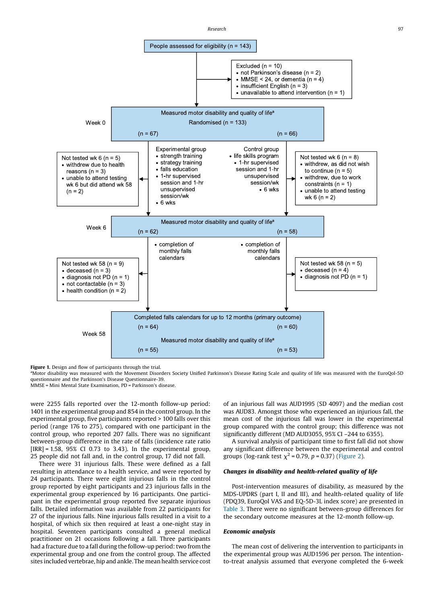Research 97 and 2012 12:00 the contract of the contract of the contract of the contract of the contract of the contract of the contract of the contract of the contract of the contract of the contract of the contract of the

<span id="page-3-0"></span>

Figure 1. Design and flow of participants through the trial.

<sup>a</sup>Motor disability was measured with the Movement Disorders Society Unified Parkinson's Disease Rating Scale and quality of life was measured with the EuroQol-5D questionnaire and the Parkinson's Disease Questionnaire-39.

MMSE = Mini Mental State Examination, PD = Parkinson's disease.

were 2255 falls reported over the 12-month follow-up period: 1401 in the experimental group and 854 in the control group. In the experimental group, five participants reported > 100 falls over this period (range 176 to 275), compared with one participant in the control group, who reported 207 falls. There was no significant between-group difference in the rate of falls (incidence rate ratio  $[IRR] = 1.58, 95% CI 0.73 to 3.43$ . In the experimental group, 25 people did not fall and, in the control group, 17 did not fall.

There were 31 injurious falls. These were defined as a fall resulting in attendance to a health service, and were reported by 24 participants. There were eight injurious falls in the control group reported by eight participants and 23 injurious falls in the experimental group experienced by 16 participants. One participant in the experimental group reported five separate injurious falls. Detailed information was available from 22 participants for 27 of the injurious falls. Nine injurious falls resulted in a visit to a hospital, of which six then required at least a one-night stay in hospital. Seventeen participants consulted a general medical practitioner on 21 occasions following a fall. Three participants had a fracture due to a fall during the follow-up period: two from the experimental group and one from the control group. The affected sites included vertebrae, hip and ankle. The mean health service cost of an injurious fall was AUD1995 (SD 4097) and the median cost was AUD83. Amongst those who experienced an injurious fall, the mean cost of the injurious fall was lower in the experimental group compared with the control group; this difference was not significantly different (MD AUD3055, 95% CI –244 to 6355).

A survival analysis of participant time to first fall did not show any significant difference between the experimental and control groups (log-rank test  $\chi^2$  = 0.79, p = 0.37) [\(Figure 2\)](#page-4-0).

## Changes in disability and health-related quality of life

Post-intervention measures of disability, as measured by the MDS-UPDRS (part I, II and III), and health-related quality of life (PDQ39, EuroQol VAS and EQ-5D-3L index score) are presented in [Table 3](#page-4-0). There were no significant between-group differences for the secondary outcome measures at the 12-month follow-up.

#### Economic analysis

The mean cost of delivering the intervention to participants in the experimental group was AUD1596 per person. The intentionto-treat analysis assumed that everyone completed the 6-week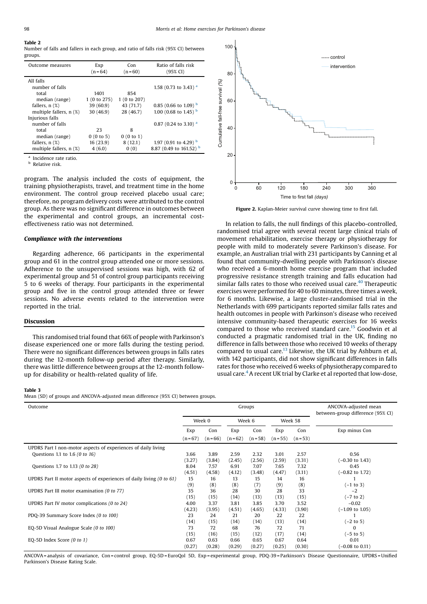## <span id="page-4-0"></span>Table 2

Number of falls and fallers in each group, and ratio of falls risk (95% CI) between groups.

| Outcome measures        | Exp<br>$(n=64)$ | Con<br>$(n=60)$ | Ratio of falls risk<br>(95% CI) |
|-------------------------|-----------------|-----------------|---------------------------------|
| All falls               |                 |                 |                                 |
| number of falls         |                 |                 | 1.58 (0.73 to 3.43) $a$         |
| total                   | 1401            | 854             |                                 |
| median (range)          | 1 (0 to 275)    | 1(0 to 207)     |                                 |
| fallers, $n$ $(\%)$     | 39(60.9)        | 43 (71.7)       | 0.85 (0.66 to 1.09) $^{\rm b}$  |
| multiple fallers, n (%) | 30(46.9)        | 28 (46.7)       | 1.00 (0.68 to 1.45) $^{\rm b}$  |
| Injurious falls         |                 |                 |                                 |
| number of falls         |                 |                 | 0.87 (0.24 to 3.10) $^{\rm a}$  |
| total                   | 23              | 8               |                                 |
| median (range)          | 0(0 to 5)       | 0(0 to 1)       |                                 |
| fallers, $n$ $(\%)$     | 16 (23.9)       | 8(12.1)         | 1.97 (0.91 to 4.29) $^{\rm b}$  |
| multiple fallers, n (%) | 4(6.0)          | 0(0)            | 8.87 (0.49 to 161.52) b         |

<sup>a</sup> Incidence rate ratio.

**b** Relative risk.

program. The analysis included the costs of equipment, the training physiotherapists, travel, and treatment time in the home environment. The control group received placebo usual care; therefore, no program delivery costs were attributed to the control group. As there was no significant difference in outcomes between the experimental and control groups, an incremental costeffectiveness ratio was not determined.

#### Compliance with the interventions

Regarding adherence, 66 participants in the experimental group and 61 in the control group attended one or more sessions. Adherence to the unsupervised sessions was high, with 62 of experimental group and 51 of control group participants receiving 5 to 6 weeks of therapy. Four participants in the experimental group and five in the control group attended three or fewer sessions. No adverse events related to the intervention were reported in the trial.

#### Discussion

This randomised trial found that 66% of people with Parkinson's disease experienced one or more falls during the testing period. There were no significant differences between groups in falls rates during the 12-month follow-up period after therapy. Similarly, there was little difference between groups at the 12-month followup for disability or health-related quality of life.



Figure 2. Kaplan-Meier survival curve showing time to first fall.

In relation to falls, the null findings of this placebo-controlled, randomised trial agree with several recent large clinical trials of movement rehabilitation, exercise therapy or physiotherapy for people with mild to moderately severe Parkinson's disease. For example, an Australian trial with 231 participants by Canning et al found that community-dwelling people with Parkinson's disease who received a 6-month home exercise program that included progressive resistance strength training and falls education had similar falls rates to those who received usual care. $40$  Therapeutic exercises were performed for 40 to 60 minutes, three times a week, for 6 months. Likewise, a large cluster-randomised trial in the Netherlands with 699 participants reported similar falls rates and health outcomes in people with Parkinson's disease who received intensive community-based therapeutic exercises for 16 weeks compared to those who received standard care.<sup>15</sup> Goodwin et al conducted a pragmatic randomised trial in the UK, finding no difference in falls between those who received 10 weeks of therapy compared to usual care.[13](#page-6-0) Likewise, the UK trial by Ashburn et al, with 142 participants, did not show significant differences in falls rates for those who received 6 weeks of physiotherapy compared to usual care.[4](#page-6-0)A recent UK trial by Clarke et al reported that low-dose,

#### Table 3

Mean (SD) of groups and ANCOVA-adjusted mean difference (95% CI) between groups.

| Outcome                                                                         | Groups   |          |          |            |          | ANCOVA-adjusted mean<br>between-group difference (95% CI) |                            |
|---------------------------------------------------------------------------------|----------|----------|----------|------------|----------|-----------------------------------------------------------|----------------------------|
|                                                                                 | Week 0   |          | Week 6   |            | Week 58  |                                                           |                            |
|                                                                                 | Exp      | Con      | Exp      | Con        | Exp      | Con                                                       | Exp minus Con              |
|                                                                                 | $(n=67)$ | $(n=66)$ | $(n=62)$ | $(n = 58)$ | $(n=55)$ | $(n = 53)$                                                |                            |
| UPDRS Part I non-motor aspects of experiences of daily living                   |          |          |          |            |          |                                                           |                            |
| Questions 1.1 to 1.6 (0 to 16)                                                  | 3.66     | 3.89     | 2.59     | 2.32       | 3.01     | 2.57                                                      | 0.56                       |
|                                                                                 | (3.27)   | (3.84)   | (2.45)   | (2.56)     | (2.59)   | (3.31)                                                    | $(-0.30 \text{ to } 1.43)$ |
| Questions 1.7 to 1.13 (0 to 28)                                                 | 8.04     | 7.57     | 6.91     | 7.07       | 7.65     | 7.32                                                      | 0.45                       |
|                                                                                 | (4.51)   | (4.58)   | (4.12)   | (3.48)     | (4.47)   | (3.11)                                                    | $(-0.82 \text{ to } 1.72)$ |
| UPDRS Part II motor aspects of experiences of daily living $(0 \text{ to } 61)$ | 15       | 16       | 13       | 15         | 14       | 16                                                        |                            |
|                                                                                 | (9)      | (8)      | (8)      | (7)        | (9)      | (8)                                                       | $(-1 to 3)$                |
| UPDRS Part III motor examination (0 to 77)                                      | 35       | 36       | 28       | 30         | 28       | 33                                                        | $-2$                       |
|                                                                                 | (15)     | (15)     | (14)     | (13)       | (13)     | (15)                                                      | $(-7 \text{ to } 2)$       |
| UPDRS Part IV motor complications (0 to 24)                                     | 4.00     | 3.37     | 3.81     | 3.85       | 3.70     | 3.52                                                      | $-0.02$                    |
|                                                                                 | (4.23)   | (3.95)   | (4.51)   | (4.65)     | (4.33)   | (3.90)                                                    | $(-1.09 \text{ to } 1.05)$ |
| PDQ-39 Summary Score Index (0 to 100)                                           | 23       | 24       | 21       | 20         | 22       | 22                                                        |                            |
|                                                                                 | (14)     | (15)     | (14)     | (14)       | (13)     | (14)                                                      | $(-2 to 5)$                |
| EQ-5D Visual Analogue Scale (0 to 100)                                          | 73       | 72       | 68       | 76         | 72       | 71                                                        | $\Omega$                   |
|                                                                                 | (15)     | (16)     | (15)     | (12)       | (17)     | (14)                                                      | (–5 to 5)                  |
| EQ-5D Index Score (0 to 1)                                                      | 0.67     | 0.63     | 0.66     | 0.65       | 0.67     | 0.64                                                      | 0.01                       |
|                                                                                 | (0.27)   | (0.28)   | (0.29)   | (0.27)     | (0.25)   | (0.30)                                                    | $(-0.08 \text{ to } 0.11)$ |

ANCOVA = analysis of covariance, Con = control group, EQ-5D = EuroQol 5D, Exp = experimental group, PDQ-39 = Parkinson's Disease Questionnaire, UPDRS = Unified Parkinson's Disease Rating Scale.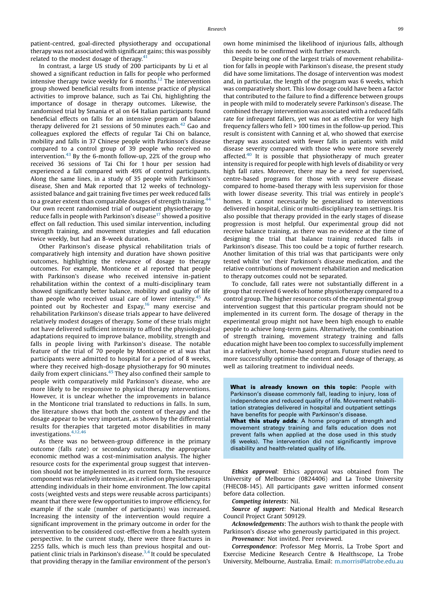patient-centred, goal-directed physiotherapy and occupational therapy was not associated with significant gains; this was possibly related to the modest dosage of therapy. $41$ 

In contrast, a large US study of 200 participants by Li et al showed a significant reduction in falls for people who performed intensive therapy twice weekly for 6 months.<sup>12</sup> The intervention group showed beneficial results from intense practice of physical activities to improve balance, such as Tai Chi, highlighting the importance of dosage in therapy outcomes. Likewise, the randomised trial by Smania et al on 64 Italian participants found beneficial effects on falls for an intensive program of balance therapy delivered for 21 sessions of 50 minutes each. $42$  Gao and colleagues explored the effects of regular Tai Chi on balance, mobility and falls in 37 Chinese people with Parkinson's disease compared to a control group of 39 people who received no intervention.<sup>[43](#page-6-0)</sup> By the 6-month follow-up, 22% of the group who received 36 sessions of Tai Chi for 1 hour per session had experienced a fall compared with 49% of control participants. Along the same lines, in a study of 35 people with Parkinson's disease, Shen and Mak reported that 12 weeks of technologyassisted balance and gait training five times per week reduced falls to a greater extent than comparable dosages of strength training.<sup>[44](#page-6-0)</sup> Our own recent randomised trial of outpatient physiotherapy to reduce falls in people with Parkinson's disease<sup>[17](#page-6-0)</sup> showed a positive effect on fall reduction. This used similar intervention, including strength training, and movement strategies and fall education twice weekly, but had an 8-week duration.

Other Parkinson's disease physical rehabilitation trials of comparatively high intensity and duration have shown positive outcomes, highlighting the relevance of dosage to therapy outcomes. For example, Monticone et al reported that people with Parkinson's disease who received intensive in-patient rehabilitation within the context of a multi-disciplinary team showed significantly better balance, mobility and quality of life than people who received usual care of lower intensity. $45$  As pointed out by Rochester and Espay,<sup>[16](#page-6-0)</sup> many exercise and rehabilitation Parkinson's disease trials appear to have delivered relatively modest dosages of therapy. Some of these trials might not have delivered sufficient intensity to afford the physiological adaptations required to improve balance, mobility, strength and falls in people living with Parkinson's disease. The notable feature of the trial of 70 people by Monticone et al was that participants were admitted to hospital for a period of 8 weeks, where they received high-dosage physiotherapy for 90 minutes daily from expert clinicians.[45](#page-6-0) They also confined their sample to people with comparatively mild Parkinson's disease, who are more likely to be responsive to physical therapy interventions. However, it is unclear whether the improvements in balance in the Monticone trial translated to reductions in falls. In sum, the literature shows that both the content of therapy and the dosage appear to be very important, as shown by the differential results for therapies that targeted motor disabilities in many investigations.[4,12,46](#page-6-0)

As there was no between-group difference in the primary outcome (falls rate) or secondary outcomes, the appropriate economic method was a cost-minimisation analysis. The higher resource costs for the experimental group suggest that intervention should not be implemented in its current form. The resource component was relatively intensive, as it relied on physiotherapists attending individuals in their home environment. The low capital costs (weighted vests and steps were reusable across participants) meant that there were few opportunities to improve efficiency, for example if the scale (number of participants) was increased. Increasing the intensity of the intervention would require a significant improvement in the primary outcome in order for the intervention to be considered cost-effective from a health system perspective. In the current study, there were three fractures in 2255 falls, which is much less than previous hospital and outpatient clinic trials in Parkinson's disease[.3,4](#page-6-0) It could be speculated that providing therapy in the familiar environment of the person's own home minimised the likelihood of injurious falls, although this needs to be confirmed with further research.

Despite being one of the largest trials of movement rehabilitation for falls in people with Parkinson's disease, the present study did have some limitations. The dosage of intervention was modest and, in particular, the length of the program was 6 weeks, which was comparatively short. This low dosage could have been a factor that contributed to the failure to find a difference between groups in people with mild to moderately severe Parkinson's disease. The combined therapy intervention was associated with a reduced falls rate for infrequent fallers, yet was not as effective for very high frequency fallers who fell > 100 times in the follow-up period. This result is consistent with Canning et al, who showed that exercise therapy was associated with fewer falls in patients with mild disease severity compared with those who were more severely affected.<sup>40</sup> It is possible that physiotherapy of much greater intensity is required for people with high levels of disability or very high fall rates. Moreover, there may be a need for supervised, centre-based programs for those with very severe disease compared to home-based therapy with less supervision for those with lower disease severity. This trial was entirely in people's homes. It cannot necessarily be generalised to interventions delivered in hospital, clinic or multi-disciplinary team settings. It is also possible that therapy provided in the early stages of disease progression is most helpful. Our experimental group did not receive balance training, as there was no evidence at the time of designing the trial that balance training reduced falls in Parkinson's disease. This too could be a topic of further research. Another limitation of this trial was that participants were only tested whilst 'on' their Parkinson's disease medication, and the relative contributions of movement rehabilitation and medication to therapy outcomes could not be separated.

To conclude, fall rates were not substantially different in a group that received 6 weeks of home physiotherapy compared to a control group. The higher resource costs of the experimental group intervention suggest that this particular program should not be implemented in its current form. The dosage of therapy in the experimental group might not have been high enough to enable people to achieve long-term gains. Alternatively, the combination of strength training, movement strategy training and falls education might have been too complex to successfully implement in a relatively short, home-based program. Future studies need to more successfully optimise the content and dosage of therapy, as well as tailoring treatment to individual needs.

What is already known on this topic: People with Parkinson's disease commonly fall, leading to injury, loss of independence and reduced quality of life. Movement rehabilitation strategies delivered in hospital and outpatient settings have benefits for people with Parkinson's disease. What this study adds: A home program of strength and movement strategy training and falls education does not prevent falls when applied at the dose used in this study (6 weeks). The intervention did not significantly improve

Ethics approval: Ethics approval was obtained from The University of Melbourne (0824406) and La Trobe University (FHEC08-145). All participants gave written informed consent before data collection.

Competing interests: Nil.

Source of support: National Health and Medical Research Council Project Grant 509129.

Acknowledgements: The authors wish to thank the people with Parkinson's disease who generously participated in this project.

Provenance: Not invited. Peer reviewed.

disability and health-related quality of life.

Correspondence: Professor Meg Morris, La Trobe Sport and Exercise Medicine Research Centre & Healthscope, La Trobe University, Melbourne, Australia. Email: [m.morris@latrobe.edu.au](mailto:m.morris@latrobe.edu.au)